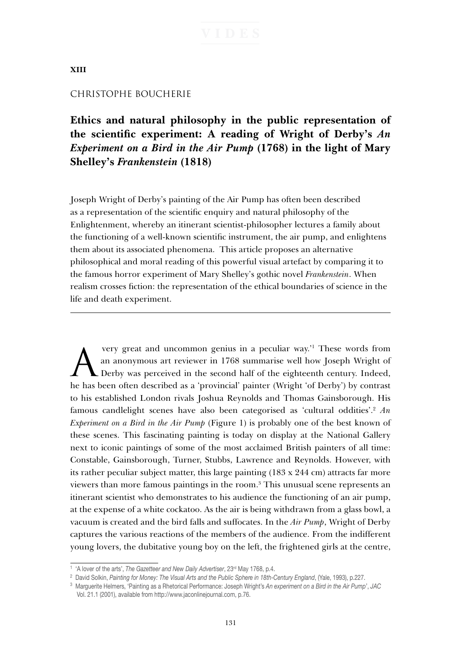### **XIII**

### CHRISTOPHE BOUCHERIE

**Ethics and natural philosophy in the public representation of the scientific experiment: A reading of Wright of Derby's** *An Experiment on a Bird in the Air Pump* **(1768) in the light of Mary Shelley's** *Frankenstein* **(1818)**

Joseph Wright of Derby's painting of the Air Pump has often been described as a representation of the scientific enquiry and natural philosophy of the Enlightenment, whereby an itinerant scientist-philosopher lectures a family about the functioning of a well-known scientific instrument, the air pump, and enlightens them about its associated phenomena. This article proposes an alternative philosophical and moral reading of this powerful visual artefact by comparing it to the famous horror experiment of Mary Shelley's gothic novel *Frankenstein*. When realism crosses fiction: the representation of the ethical boundaries of science in the life and death experiment.

Very great and uncommon genius in a peculiar way.<sup>'1</sup> These words from<br>an anonymous art reviewer in 1768 summarise well how Joseph Wright of<br>Derby was perceived in the second half of the eighteenth century. Indeed, very great and uncommon genius in a peculiar way.<sup>21</sup> These words from an anonymous art reviewer in 1768 summarise well how Joseph Wright of he has been often described as a 'provincial' painter (Wright 'of Derby') by contrast to his established London rivals Joshua Reynolds and Thomas Gainsborough. His famous candlelight scenes have also been categorised as 'cultural oddities'.2 *An Experiment on a Bird in the Air Pump* (Figure 1) is probably one of the best known of these scenes. This fascinating painting is today on display at the National Gallery next to iconic paintings of some of the most acclaimed British painters of all time: Constable, Gainsborough, Turner, Stubbs, Lawrence and Reynolds. However, with its rather peculiar subject matter, this large painting  $(183 \times 244 \text{ cm})$  attracts far more viewers than more famous paintings in the room.3 This unusual scene represents an itinerant scientist who demonstrates to his audience the functioning of an air pump, at the expense of a white cockatoo. As the air is being withdrawn from a glass bowl, a vacuum is created and the bird falls and suffocates. In the *Air Pump*, Wright of Derby captures the various reactions of the members of the audience. From the indifferent young lovers, the dubitative young boy on the left, the frightened girls at the centre,

<sup>&</sup>lt;sup>1</sup> 'A lover of the arts', *The Gazetteer and New Daily Advertiser*, 23<sup>rd</sup> May 1768, p.4.

<sup>&</sup>lt;sup>2</sup> David Solkin, Painting for Money: The Visual Arts and the Public Sphere in 18th-Century England, (Yale, 1993), p.227.

<sup>3</sup> Marguerite Helmers, 'Painting as a Rhetorical Performance: Joseph Wright's *An experiment on a Bird in the Air Pump*', *JAC*  Vol. 21.1 (2001), available from http://www.jaconlinejournal.com, p.76.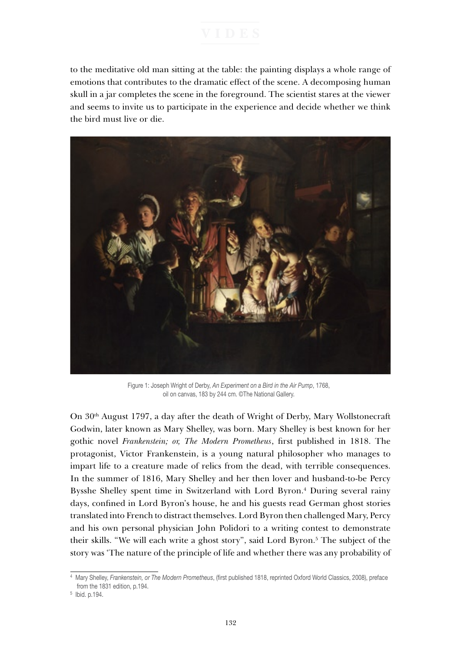to the meditative old man sitting at the table: the painting displays a whole range of emotions that contributes to the dramatic effect of the scene. A decomposing human skull in a jar completes the scene in the foreground. The scientist stares at the viewer and seems to invite us to participate in the experience and decide whether we think the bird must live or die.



Figure 1: Joseph Wright of Derby, *An Experiment on a Bird in the Air Pump*, 1768, oil on canvas, 183 by 244 cm. ©The National Gallery.

On 30th August 1797, a day after the death of Wright of Derby, Mary Wollstonecraft Godwin, later known as Mary Shelley, was born. Mary Shelley is best known for her gothic novel *Frankenstein; or, The Modern Prometheus*, first published in 1818. The protagonist, Victor Frankenstein, is a young natural philosopher who manages to impart life to a creature made of relics from the dead, with terrible consequences. In the summer of 1816, Mary Shelley and her then lover and husband-to-be Percy Bysshe Shelley spent time in Switzerland with Lord Byron.<sup>4</sup> During several rainy days, confined in Lord Byron's house, he and his guests read German ghost stories translated into French to distract themselves. Lord Byron then challenged Mary, Percy and his own personal physician John Polidori to a writing contest to demonstrate their skills. "We will each write a ghost story", said Lord Byron.<sup>5</sup> The subject of the story was 'The nature of the principle of life and whether there was any probability of

<sup>4</sup> Mary Shelley, *Frankenstein, or The Modern Prometheus*, (first published 1818, reprinted Oxford World Classics, 2008), preface from the 1831 edition, p.194.

<sup>5</sup> Ibid. p.194.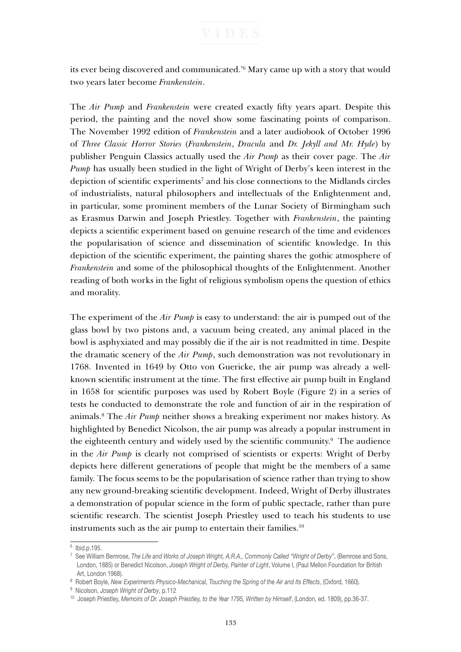its ever being discovered and communicated.'6 Mary came up with a story that would two years later become *Frankenstein*.

The *Air Pump* and *Frankenstein* were created exactly fifty years apart. Despite this period, the painting and the novel show some fascinating points of comparison. The November 1992 edition of *Frankenstein* and a later audiobook of October 1996 of *Three Classic Horror Stories* (*Frankenstein*, *Dracula* and *Dr. Jekyll and Mr. Hyde*) by publisher Penguin Classics actually used the *Air Pump* as their cover page. The *Air Pump* has usually been studied in the light of Wright of Derby's keen interest in the depiction of scientific experiments<sup>7</sup> and his close connections to the Midlands circles of industrialists, natural philosophers and intellectuals of the Enlightenment and, in particular, some prominent members of the Lunar Society of Birmingham such as Erasmus Darwin and Joseph Priestley. Together with *Frankenstein*, the painting depicts a scientific experiment based on genuine research of the time and evidences the popularisation of science and dissemination of scientific knowledge. In this depiction of the scientific experiment, the painting shares the gothic atmosphere of *Frankenstein* and some of the philosophical thoughts of the Enlightenment. Another reading of both works in the light of religious symbolism opens the question of ethics and morality.

The experiment of the *Air Pump* is easy to understand: the air is pumped out of the glass bowl by two pistons and, a vacuum being created, any animal placed in the bowl is asphyxiated and may possibly die if the air is not readmitted in time. Despite the dramatic scenery of the *Air Pump*, such demonstration was not revolutionary in 1768. Invented in 1649 by Otto von Guericke, the air pump was already a wellknown scientific instrument at the time. The first effective air pump built in England in 1658 for scientific purposes was used by Robert Boyle (Figure 2) in a series of tests he conducted to demonstrate the role and function of air in the respiration of animals.8 The *Air Pump* neither shows a breaking experiment nor makes history. As highlighted by Benedict Nicolson, the air pump was already a popular instrument in the eighteenth century and widely used by the scientific community.<sup>9</sup> The audience in the *Air Pump* is clearly not comprised of scientists or experts: Wright of Derby depicts here different generations of people that might be the members of a same family. The focus seems to be the popularisation of science rather than trying to show any new ground-breaking scientific development. Indeed, Wright of Derby illustrates a demonstration of popular science in the form of public spectacle, rather than pure scientific research. The scientist Joseph Priestley used to teach his students to use instruments such as the air pump to entertain their families.<sup>10</sup>

 $6$  Ibid.p.195.

<sup>7</sup> See William Bemrose, *The Life and Works of Joseph Wright, A.R.A., Commonly Called "Wright of Derby"*, (Bemrose and Sons, London, 1885) or Benedict Nicolson, *Joseph Wright of Derby, Painter of Light*, Volume I, (Paul Mellon Foundation for British Art, London 1968).

<sup>&</sup>lt;sup>8</sup> Robert Boyle, New Experiments Physico-Mechanical, Touching the Spring of the Air and Its Effects, (Oxford, 1660).

<sup>9</sup> Nicolson, *Joseph Wright of Derby*, p.112

<sup>10</sup> Joseph Priestley, *Memoirs of Dr. Joseph Priestley, to the Year 1795, Written by Himself*, (London, ed. 1809), pp.36-37.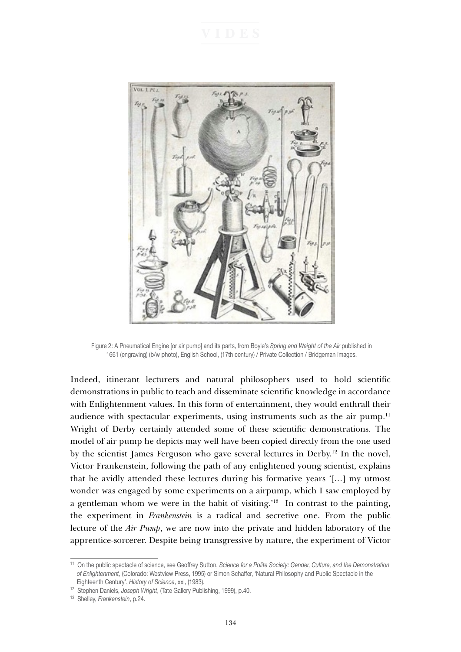

Figure 2: A Pneumatical Engine [or air pump] and its parts, from Boyle's *Spring and Weight of the Air* published in 1661 (engraving) (b/w photo), English School, (17th century) / Private Collection / Bridgeman Images.

Indeed, itinerant lecturers and natural philosophers used to hold scientific demonstrations in public to teach and disseminate scientific knowledge in accordance with Enlightenment values. In this form of entertainment, they would enthrall their audience with spectacular experiments, using instruments such as the air pump.<sup>11</sup> Wright of Derby certainly attended some of these scientific demonstrations. The model of air pump he depicts may well have been copied directly from the one used by the scientist James Ferguson who gave several lectures in Derby.12 In the novel, Victor Frankenstein, following the path of any enlightened young scientist, explains that he avidly attended these lectures during his formative years '[…] my utmost wonder was engaged by some experiments on a airpump, which I saw employed by a gentleman whom we were in the habit of visiting.'13 In contrast to the painting, the experiment in *Frankenstein* is a radical and secretive one. From the public lecture of the *Air Pump*, we are now into the private and hidden laboratory of the apprentice-sorcerer. Despite being transgressive by nature, the experiment of Victor

<sup>11</sup> On the public spectacle of science, see Geoffrey Sutton, *Science for a Polite Society: Gender, Culture, and the Demonstration of Enlightenment,* (Colorado: Westview Press, 1995) or Simon Schaffer, 'Natural Philosophy and Public Spectacle in the Eighteenth Century', *History of Science*, xxi, (1983).

<sup>12</sup> Stephen Daniels, *Joseph Wright*, (Tate Gallery Publishing, 1999), p.40.

<sup>13</sup> Shelley, *Frankenstein*, p.24.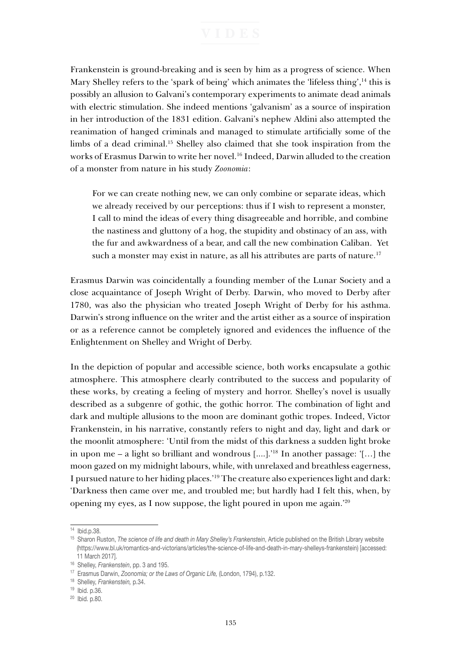Frankenstein is ground-breaking and is seen by him as a progress of science. When Mary Shelley refers to the 'spark of being' which animates the 'lifeless thing',<sup>14</sup> this is possibly an allusion to Galvani's contemporary experiments to animate dead animals with electric stimulation. She indeed mentions 'galvanism' as a source of inspiration in her introduction of the 1831 edition. Galvani's nephew Aldini also attempted the reanimation of hanged criminals and managed to stimulate artificially some of the limbs of a dead criminal.<sup>15</sup> Shelley also claimed that she took inspiration from the works of Erasmus Darwin to write her novel.16 Indeed, Darwin alluded to the creation of a monster from nature in his study *Zoonomia*:

For we can create nothing new, we can only combine or separate ideas, which we already received by our perceptions: thus if I wish to represent a monster, I call to mind the ideas of every thing disagreeable and horrible, and combine the nastiness and gluttony of a hog, the stupidity and obstinacy of an ass, with the fur and awkwardness of a bear, and call the new combination Caliban. Yet such a monster may exist in nature, as all his attributes are parts of nature.<sup>17</sup>

Erasmus Darwin was coincidentally a founding member of the Lunar Society and a close acquaintance of Joseph Wright of Derby. Darwin, who moved to Derby after 1780, was also the physician who treated Joseph Wright of Derby for his asthma. Darwin's strong influence on the writer and the artist either as a source of inspiration or as a reference cannot be completely ignored and evidences the influence of the Enlightenment on Shelley and Wright of Derby.

In the depiction of popular and accessible science, both works encapsulate a gothic atmosphere. This atmosphere clearly contributed to the success and popularity of these works, by creating a feeling of mystery and horror. Shelley's novel is usually described as a subgenre of gothic, the gothic horror. The combination of light and dark and multiple allusions to the moon are dominant gothic tropes. Indeed, Victor Frankenstein, in his narrative, constantly refers to night and day, light and dark or the moonlit atmosphere: 'Until from the midst of this darkness a sudden light broke in upon me – a light so brilliant and wondrous [....].'18 In another passage: '[…] the moon gazed on my midnight labours, while, with unrelaxed and breathless eagerness, I pursued nature to her hiding places.'19 The creature also experiences light and dark: 'Darkness then came over me, and troubled me; but hardly had I felt this, when, by opening my eyes, as I now suppose, the light poured in upon me again.'20

<sup>14</sup> Ibid.p.38.

<sup>15</sup> Sharon Ruston, *The science of life and death in Mary Shelley's Frankenstein*, Article published on the British Library website (https://www.bl.uk/romantics-and-victorians/articles/the-science-of-life-and-death-in-mary-shelleys-frankenstein) [accessed: 11 March 2017].

<sup>16</sup> Shelley, *Frankenstein*, pp. 3 and 195.

<sup>17</sup> Erasmus Darwin, *Zoonomia; or the Laws of Organic Life,* (London, 1794), p.132.

<sup>18</sup> Shelley, *Frankenstein,* p.34.

<sup>19</sup> Ibid. p.36.

<sup>20</sup> Ibid. p.80.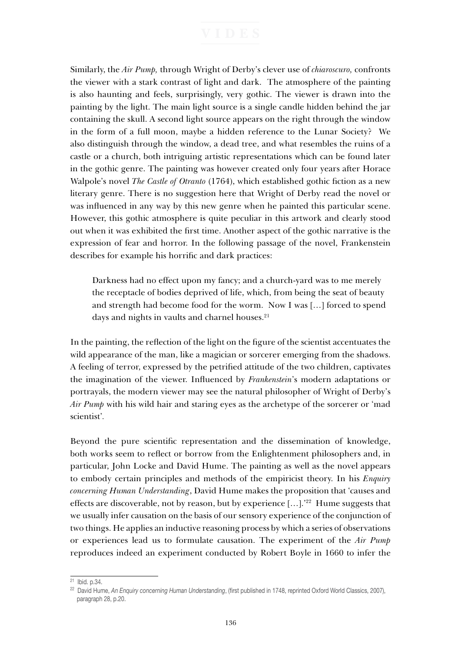Similarly, the *Air Pump,* through Wright of Derby's clever use of *chiaroscuro,* confronts the viewer with a stark contrast of light and dark. The atmosphere of the painting is also haunting and feels, surprisingly, very gothic. The viewer is drawn into the painting by the light. The main light source is a single candle hidden behind the jar containing the skull. A second light source appears on the right through the window in the form of a full moon, maybe a hidden reference to the Lunar Society? We also distinguish through the window, a dead tree, and what resembles the ruins of a castle or a church, both intriguing artistic representations which can be found later in the gothic genre. The painting was however created only four years after Horace Walpole's novel *The Castle of Otranto* (1764), which established gothic fiction as a new literary genre. There is no suggestion here that Wright of Derby read the novel or was influenced in any way by this new genre when he painted this particular scene. However, this gothic atmosphere is quite peculiar in this artwork and clearly stood out when it was exhibited the first time. Another aspect of the gothic narrative is the expression of fear and horror. In the following passage of the novel, Frankenstein describes for example his horrific and dark practices:

Darkness had no effect upon my fancy; and a church-yard was to me merely the receptacle of bodies deprived of life, which, from being the seat of beauty and strength had become food for the worm. Now I was […] forced to spend days and nights in vaults and charnel houses.<sup>21</sup>

In the painting, the reflection of the light on the figure of the scientist accentuates the wild appearance of the man, like a magician or sorcerer emerging from the shadows. A feeling of terror, expressed by the petrified attitude of the two children, captivates the imagination of the viewer. Influenced by *Frankenstein*'s modern adaptations or portrayals, the modern viewer may see the natural philosopher of Wright of Derby's *Air Pump* with his wild hair and staring eyes as the archetype of the sorcerer or 'mad scientist'*.* 

Beyond the pure scientific representation and the dissemination of knowledge, both works seem to reflect or borrow from the Enlightenment philosophers and, in particular, John Locke and David Hume. The painting as well as the novel appears to embody certain principles and methods of the empiricist theory. In his *Enquiry concerning Human Understanding*, David Hume makes the proposition that 'causes and effects are discoverable, not by reason, but by experience  $[\dots]$ .<sup>22</sup> Hume suggests that we usually infer causation on the basis of our sensory experience of the conjunction of two things. He applies an inductive reasoning process by which a series of observations or experiences lead us to formulate causation. The experiment of the *Air Pump* reproduces indeed an experiment conducted by Robert Boyle in 1660 to infer the

<sup>21</sup> Ibid. p.34.

<sup>22</sup> David Hume, *An Enquiry concerning Human Understanding*, (first published in 1748, reprinted Oxford World Classics, 2007), paragraph 28, p.20.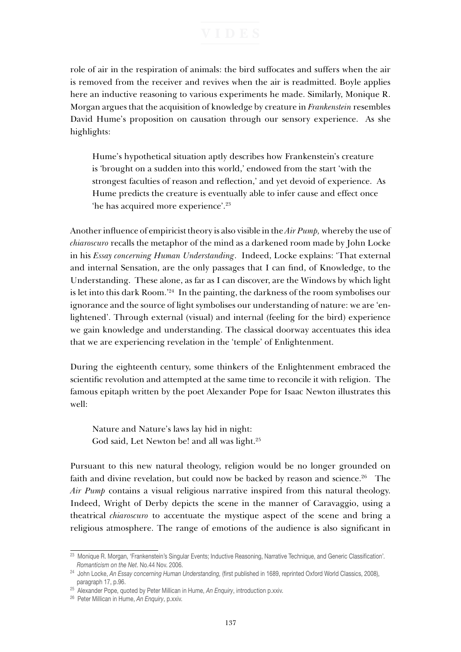role of air in the respiration of animals: the bird suffocates and suffers when the air is removed from the receiver and revives when the air is readmitted. Boyle applies here an inductive reasoning to various experiments he made. Similarly, Monique R. Morgan argues that the acquisition of knowledge by creature in *Frankenstein* resembles David Hume's proposition on causation through our sensory experience. As she highlights:

Hume's hypothetical situation aptly describes how Frankenstein's creature is 'brought on a sudden into this world,' endowed from the start 'with the strongest faculties of reason and reflection,' and yet devoid of experience. As Hume predicts the creature is eventually able to infer cause and effect once 'he has acquired more experience'.23

Another influence of empiricist theory is also visible in the *Air Pump,* whereby the use of *chiaroscuro* recalls the metaphor of the mind as a darkened room made by John Locke in his *Essay concerning Human Understanding*. Indeed, Locke explains: 'That external and internal Sensation, are the only passages that I can find, of Knowledge, to the Understanding. These alone, as far as I can discover, are the Windows by which light is let into this dark Room.'24 In the painting, the darkness of the room symbolises our ignorance and the source of light symbolises our understanding of nature: we are 'enlightened'. Through external (visual) and internal (feeling for the bird) experience we gain knowledge and understanding. The classical doorway accentuates this idea that we are experiencing revelation in the 'temple' of Enlightenment.

During the eighteenth century, some thinkers of the Enlightenment embraced the scientific revolution and attempted at the same time to reconcile it with religion. The famous epitaph written by the poet Alexander Pope for Isaac Newton illustrates this well:

Nature and Nature's laws lay hid in night: God said, Let Newton be! and all was light.<sup>25</sup>

Pursuant to this new natural theology, religion would be no longer grounded on faith and divine revelation, but could now be backed by reason and science.<sup>26</sup> The *Air Pump* contains a visual religious narrative inspired from this natural theology. Indeed, Wright of Derby depicts the scene in the manner of Caravaggio, using a theatrical *chiaroscuro* to accentuate the mystique aspect of the scene and bring a religious atmosphere. The range of emotions of the audience is also significant in

<sup>23</sup> Monique R. Morgan, 'Frankenstein's Singular Events; Inductive Reasoning, Narrative Technique, and Generic Classification'*. Romanticism on the Net*. No.44 Nov. 2006.

<sup>24</sup> John Locke, *An Essay concerning Human Understanding,* (first published in 1689, reprinted Oxford World Classics, 2008), paragraph 17, p.96.

<sup>25</sup> Alexander Pope, quoted by Peter Millican in Hume, *An Enquiry*, introduction p.xxiv*.*

<sup>26</sup> Peter Millican in Hume, *An Enquiry*, p.xxiv.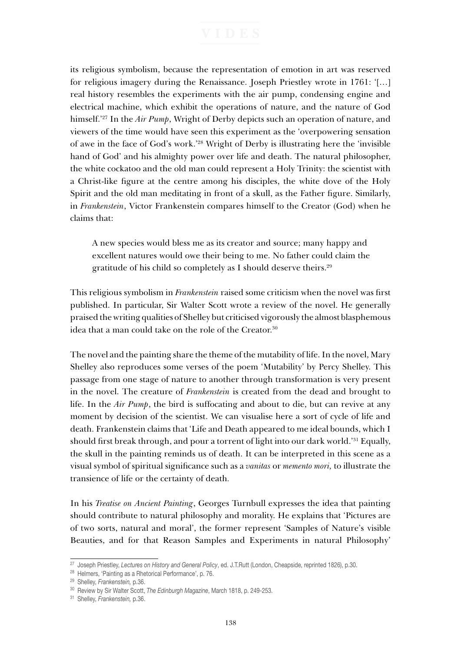its religious symbolism, because the representation of emotion in art was reserved for religious imagery during the Renaissance. Joseph Priestley wrote in 1761: '[…] real history resembles the experiments with the air pump, condensing engine and electrical machine, which exhibit the operations of nature, and the nature of God himself.'27 In the *Air Pump*, Wright of Derby depicts such an operation of nature, and viewers of the time would have seen this experiment as the 'overpowering sensation of awe in the face of God's work.'28 Wright of Derby is illustrating here the 'invisible hand of God' and his almighty power over life and death. The natural philosopher, the white cockatoo and the old man could represent a Holy Trinity: the scientist with a Christ-like figure at the centre among his disciples, the white dove of the Holy Spirit and the old man meditating in front of a skull, as the Father figure. Similarly, in *Frankenstein*, Victor Frankenstein compares himself to the Creator (God) when he claims that:

A new species would bless me as its creator and source; many happy and excellent natures would owe their being to me. No father could claim the gratitude of his child so completely as I should deserve theirs.29

This religious symbolism in *Frankenstein* raised some criticism when the novel was first published. In particular, Sir Walter Scott wrote a review of the novel. He generally praised the writing qualities of Shelley but criticised vigorously the almost blasphemous idea that a man could take on the role of the Creator.<sup>30</sup>

The novel and the painting share the theme of the mutability of life. In the novel, Mary Shelley also reproduces some verses of the poem 'Mutability' by Percy Shelley. This passage from one stage of nature to another through transformation is very present in the novel. The creature of *Frankenstein* is created from the dead and brought to life. In the *Air Pump*, the bird is suffocating and about to die, but can revive at any moment by decision of the scientist. We can visualise here a sort of cycle of life and death. Frankenstein claims that 'Life and Death appeared to me ideal bounds, which I should first break through, and pour a torrent of light into our dark world.'31 Equally, the skull in the painting reminds us of death. It can be interpreted in this scene as a visual symbol of spiritual significance such as a *vanitas* or *memento mori,* to illustrate the transience of life or the certainty of death*.* 

In his *Treatise on Ancient Painting*, Georges Turnbull expresses the idea that painting should contribute to natural philosophy and morality. He explains that 'Pictures are of two sorts, natural and moral', the former represent 'Samples of Nature's visible Beauties, and for that Reason Samples and Experiments in natural Philosophy'

<sup>27</sup> Joseph Priestley, *Lectures on History and General Policy*, ed. J.T.Rutt (London, Cheapside, reprinted 1826), p.30.

<sup>28</sup> Helmers, 'Painting as a Rhetorical Performance', p. 76.

<sup>29</sup> Shelley, *Frankenstein,* p.36.

<sup>30</sup> Review by Sir Walter Scott, *The Edinburgh Magazine*, March 1818, p. 249-253.

<sup>31</sup> Shelley, *Frankenstein,* p.36.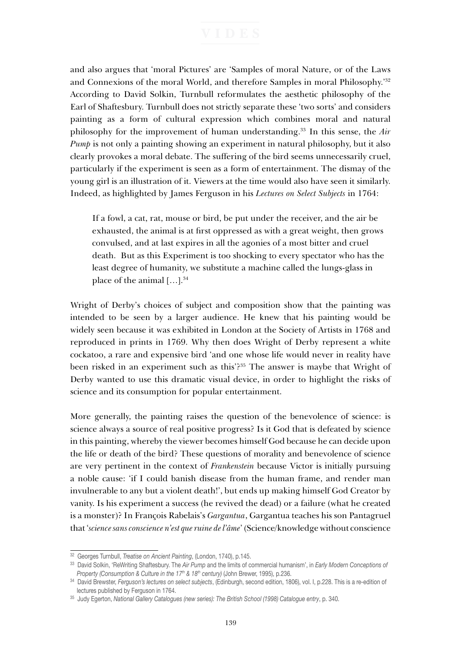and also argues that 'moral Pictures' are 'Samples of moral Nature, or of the Laws and Connexions of the moral World, and therefore Samples in moral Philosophy.'32 According to David Solkin, Turnbull reformulates the aesthetic philosophy of the Earl of Shaftesbury. Turnbull does not strictly separate these 'two sorts' and considers painting as a form of cultural expression which combines moral and natural philosophy for the improvement of human understanding.33 In this sense, the *Air Pump* is not only a painting showing an experiment in natural philosophy, but it also clearly provokes a moral debate. The suffering of the bird seems unnecessarily cruel, particularly if the experiment is seen as a form of entertainment. The dismay of the young girl is an illustration of it. Viewers at the time would also have seen it similarly. Indeed, as highlighted by James Ferguson in his *Lectures on Select Subjects* in 1764:

If a fowl, a cat, rat, mouse or bird, be put under the receiver, and the air be exhausted, the animal is at first oppressed as with a great weight, then grows convulsed, and at last expires in all the agonies of a most bitter and cruel death. But as this Experiment is too shocking to every spectator who has the least degree of humanity, we substitute a machine called the lungs-glass in place of the animal  $[\dots]$ .<sup>34</sup>

Wright of Derby's choices of subject and composition show that the painting was intended to be seen by a larger audience. He knew that his painting would be widely seen because it was exhibited in London at the Society of Artists in 1768 and reproduced in prints in 1769. Why then does Wright of Derby represent a white cockatoo, a rare and expensive bird 'and one whose life would never in reality have been risked in an experiment such as this'?35 The answer is maybe that Wright of Derby wanted to use this dramatic visual device, in order to highlight the risks of science and its consumption for popular entertainment.

More generally, the painting raises the question of the benevolence of science: is science always a source of real positive progress? Is it God that is defeated by science in this painting, whereby the viewer becomes himself God because he can decide upon the life or death of the bird? These questions of morality and benevolence of science are very pertinent in the context of *Frankenstein* because Victor is initially pursuing a noble cause: 'if I could banish disease from the human frame, and render man invulnerable to any but a violent death!', but ends up making himself God Creator by vanity. Is his experiment a success (he revived the dead) or a failure (what he created is a monster)? In François Rabelais's *Gargantua*, Gargantua teaches his son Pantagruel that '*science sans conscience n'est que ruine de l'âme*' (Science/knowledge without conscience

<sup>32</sup> Georges Turnbull, *Treatise on Ancient Painting*, (London, 1740), p.145.

<sup>33</sup> David Solkin, 'ReWriting Shaftesbury. The *Air Pump* and the limits of commercial humanism', in *Early Modern Conceptions of Property (Consumption & Culture in the 17<sup>th</sup> & 18<sup>th</sup> century)* (John Brewer, 1995), p.236.

<sup>34</sup> David Brewster, *Ferguson's lectures on select subjects*, (Edinburgh, second edition, 1806), vol. I, p.228. This is a re-edition of lectures published by Ferguson in 1764.

<sup>35</sup> Judy Egerton, *National Gallery Catalogues (new series): The British School (1998) Catalogue entry*, p. 340.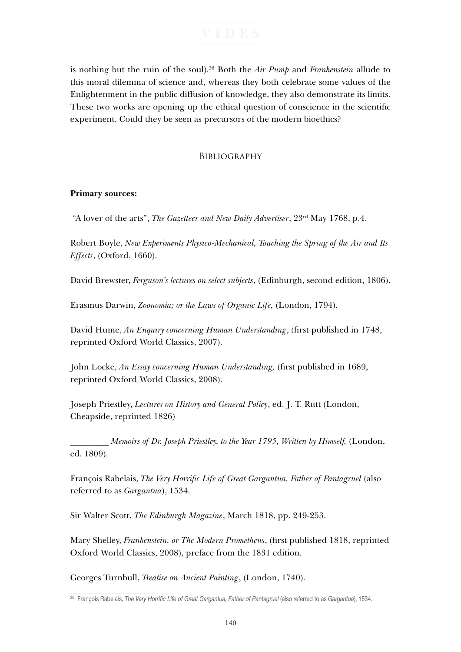is nothing but the ruin of the soul).36 Both the *Air Pump* and *Frankenstein* allude to this moral dilemma of science and, whereas they both celebrate some values of the Enlightenment in the public diffusion of knowledge, they also demonstrate its limits. These two works are opening up the ethical question of conscience in the scientific experiment. Could they be seen as precursors of the modern bioethics?

## **BIBLIOGRAPHY**

# **Primary sources:**

"A lover of the arts", *The Gazetteer and New Daily Advertiser*, 23rd May 1768, p.4.

Robert Boyle, *New Experiments Physico-Mechanical, Touching the Spring of the Air and Its Effects*, (Oxford, 1660).

David Brewster, *Ferguson's lectures on select subjects*, (Edinburgh, second edition, 1806).

Erasmus Darwin, *Zoonomia; or the Laws of Organic Life,* (London, 1794).

David Hume, *An Enquiry concerning Human Understanding*, (first published in 1748, reprinted Oxford World Classics, 2007).

John Locke, *An Essay concerning Human Understanding,* (first published in 1689, reprinted Oxford World Classics, 2008).

Joseph Priestley, *Lectures on History and General Policy*, ed. J. T. Rutt (London, Cheapside, reprinted 1826)

\_\_\_\_\_\_\_\_\_ *Memoirs of Dr. Joseph Priestley, to the Year 1795, Written by Himself,* (London, ed. 1809).

François Rabelais, *The Very Horrific Life of Great Gargantua, Father of Pantagruel* (also referred to as *Gargantua*), 1534.

Sir Walter Scott, *The Edinburgh Magazine*, March 1818, pp. 249-253.

Mary Shelley, *Frankenstein, or The Modern Prometheus*, (first published 1818, reprinted Oxford World Classics, 2008), preface from the 1831 edition.

Georges Turnbull, *Treatise on Ancient Painting*, (London, 1740).

<sup>36</sup> François Rabelais, *The Very Horrific Life of Great Gargantua, Father of Pantagruel* (also referred to as *Gargantua*), 1534.